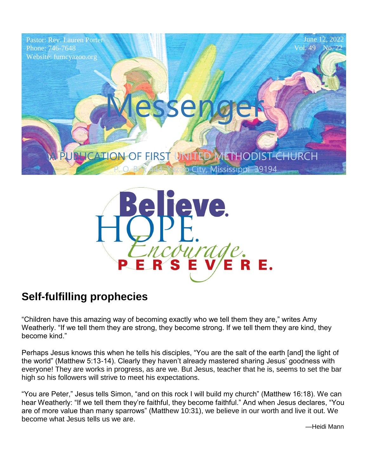



### **Self-fulfilling prophecies**

"Children have this amazing way of becoming exactly who we tell them they are," writes Amy Weatherly. "If we tell them they are strong, they become strong. If we tell them they are kind, they become kind."

Perhaps Jesus knows this when he tells his disciples, "You are the salt of the earth [and] the light of the world" (Matthew 5:13-14). Clearly they haven't already mastered sharing Jesus' goodness with everyone! They are works in progress, as are we. But Jesus, teacher that he is, seems to set the bar high so his followers will strive to meet his expectations.

"You are Peter," Jesus tells Simon, "and on this rock I will build my church" (Matthew 16:18). We can hear Weatherly: "If we tell them they're faithful, they become faithful." And when Jesus declares, "You are of more value than many sparrows" (Matthew 10:31), we believe in our worth and live it out. We become what Jesus tells us we are.

—Heidi Mann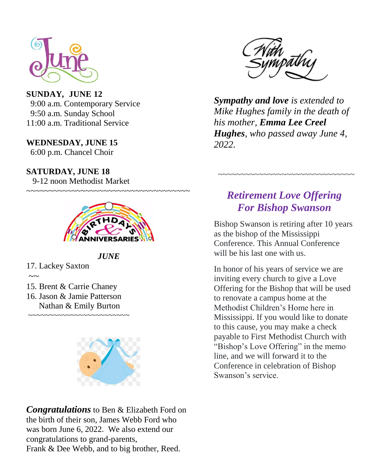

11:00 a.m. Traditional Service **SUNDAY***,* **JUNE 12** 9:00 a.m. Contemporary Service 9:50 a.m. Sunday School

6:00 p.m. Chancel Choir **WEDNESDAY, JUNE 15**  $\frac{1}{2}$  or  $\frac{1}{4}$  and  $\frac{1}{4}$  and  $\frac{1}{4}$  and  $\frac{1}{4}$  and  $\frac{1}{4}$  and  $\frac{1}{4}$  and  $\frac{1}{4}$  and  $\frac{1}{4}$  and  $\frac{1}{4}$  and  $\frac{1}{4}$  and  $\frac{1}{4}$  and  $\frac{1}{4}$  and  $\frac{1}{4}$  and  $\frac{1}{4}$  and  $\frac{1}{4}$  an

**SATURDAY, JUNE 18** 9-12 noon Methodist Market



~~~~~~~~~~~~~~~~~~~~~~~~~~~~~~~~~~~~

#### *JUNE*

17. Lackey Saxton

 $\sim$  ~

 $\overline{1}$ 

- 15. Brent & Carrie Chaney
- 16. Jason & Jamie Patterson Nathan & Emily Burton ~~~~~~~~~~~~~~~~~~~~~~~~



*Congratulations* to Ben & Elizabeth Ford on the birth of their son, James Webb Ford who was born June 6, 2022. We also extend our congratulations to grand-parents, Frank & Dee Webb, and to big brother, Reed.



*Sympathy and love is extended to Mike Hughes family in the death of his mother, Emma Lee Creel Hughes, who passed away June 4, 2022.*

#### *Retirement Love Offering For Bishop Swanson*

~~~~~~~~~~~~~~~~~~~~~~~~~~~~~~

Bishop Swanson is retiring after 10 years as the bishop of the Mississippi Conference. This Annual Conference will be his last one with us.

In honor of his years of service we are inviting every church to give a Love Offering for the Bishop that will be used to renovate a campus home at the Methodist Children's Home here in Mississippi. If you would like to donate to this cause, you may make a check payable to First Methodist Church with "Bishop's Love Offering" in the memo line, and we will forward it to the Conference in celebration of Bishop Swanson's service.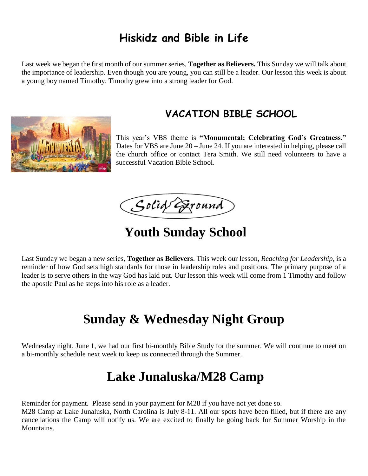### **Hiskidz and Bible in Life**

Last week we began the first month of our summer series, **Together as Believers.** This Sunday we will talk about the importance of leadership. Even though you are young, you can still be a leader. Our lesson this week is about a young boy named Timothy. Timothy grew into a strong leader for God.



#### **VACATION BIBLE SCHOOL**

This year's VBS theme is **"Monumental: Celebrating God's Greatness."** Dates for VBS are June 20 – June 24. If you are interested in helping, please call the church office or contact Tera Smith. We still need volunteers to have a successful Vacation Bible School.

Solid Exound

## **Youth Sunday School**

Last Sunday we began a new series, **Together as Believers**. This week our lesson, *Reaching for Leadership,* is a reminder of how God sets high standards for those in leadership roles and positions. The primary purpose of a leader is to serve others in the way God has laid out. Our lesson this week will come from 1 Timothy and follow the apostle Paul as he steps into his role as a leader.

# **Sunday & Wednesday Night Group**

Wednesday night, June 1, we had our first bi-monthly Bible Study for the summer. We will continue to meet on a bi-monthly schedule next week to keep us connected through the Summer.

# **Lake Junaluska/M28 Camp**

Reminder for payment. Please send in your payment for M28 if you have not yet done so.

M28 Camp at Lake Junaluska, North Carolina is July 8-11. All our spots have been filled, but if there are any cancellations the Camp will notify us. We are excited to finally be going back for Summer Worship in the Mountains.